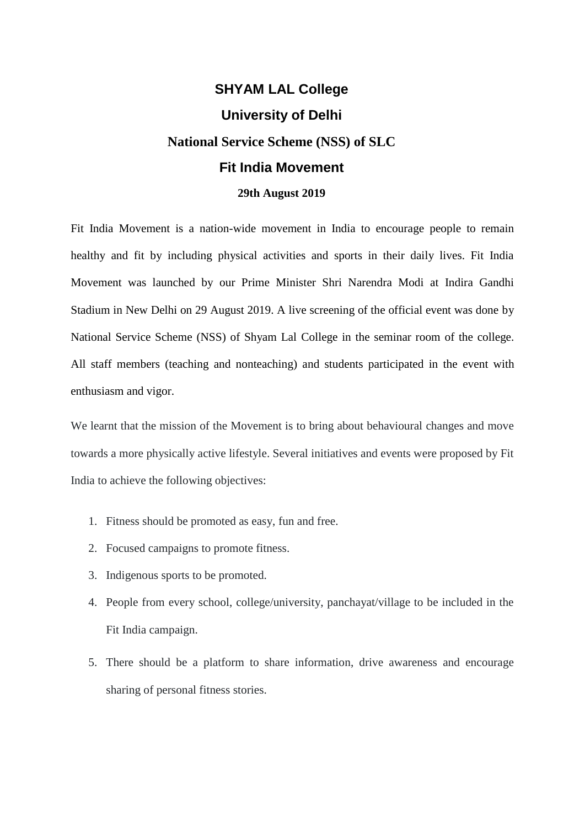## **SHYAM LAL College University of Delhi National Service Scheme (NSS) of SLC Fit India Movement 29th August 2019**

Fit India Movement is a nation-wide movement in India to encourage people to remain healthy and fit by including physical activities and sports in their daily lives. Fit India Movement was launched by our Prime Minister Shri Narendra Modi at Indira Gandhi Stadium in New Delhi on 29 August 2019. A live screening of the official event was done by National Service Scheme (NSS) of Shyam Lal College in the seminar room of the college. All staff members (teaching and nonteaching) and students participated in the event with enthusiasm and vigor.

We learnt that the mission of the Movement is to bring about behavioural changes and move towards a more physically active lifestyle. Several initiatives and events were proposed by Fit India to achieve the following objectives:

- 1. Fitness should be promoted as easy, fun and free.
- 2. Focused campaigns to promote fitness.
- 3. Indigenous sports to be promoted.
- 4. People from every school, college/university, panchayat/village to be included in the Fit India campaign.
- 5. There should be a platform to share information, drive awareness and encourage sharing of personal fitness stories.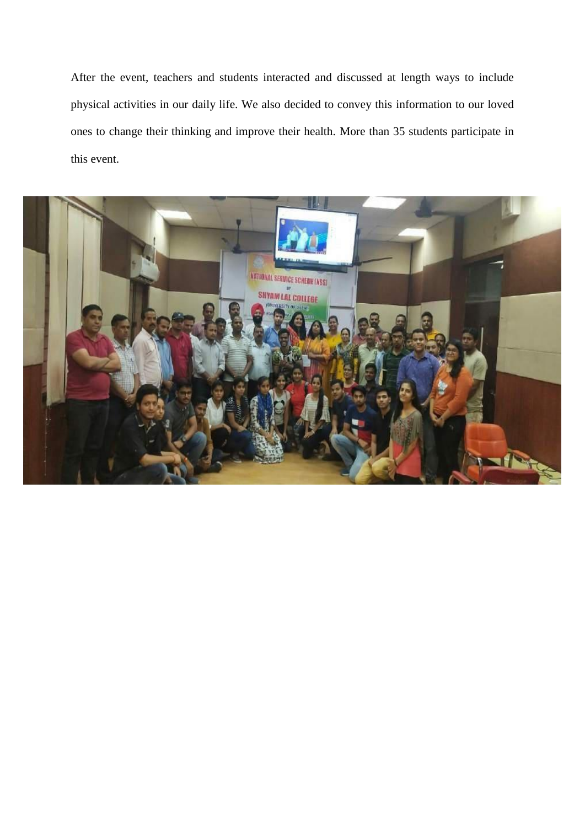After the event, teachers and students interacted and discussed at length ways to include physical activities in our daily life. We also decided to convey this information to our loved ones to change their thinking and improve their health. More than 35 students participate in this event.